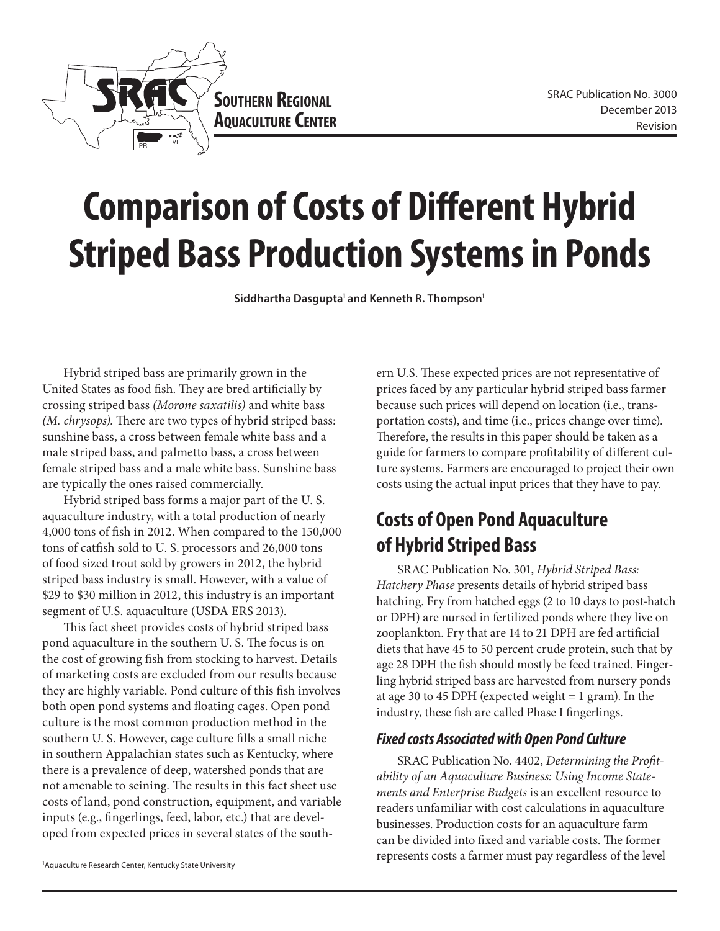

# **Comparison of Costs of Different Hybrid Striped Bass Production Systems in Ponds**

Siddhartha Dasgupta<sup>1</sup> and Kenneth R. Thompson<sup>1</sup>

Hybrid striped bass are primarily grown in the United States as food fish. They are bred artificially by crossing striped bass *(Morone saxatilis)* and white bass *(M. chrysops).* There are two types of hybrid striped bass: sunshine bass, a cross between female white bass and a male striped bass, and palmetto bass, a cross between female striped bass and a male white bass. Sunshine bass are typically the ones raised commercially.

Hybrid striped bass forms a major part of the U. S. aquaculture industry, with a total production of nearly 4,000 tons of fish in 2012. When compared to the 150,000 tons of catfish sold to U. S. processors and 26,000 tons of food sized trout sold by growers in 2012, the hybrid striped bass industry is small. However, with a value of \$29 to \$30 million in 2012, this industry is an important segment of U.S. aquaculture (USDA ERS 2013).

This fact sheet provides costs of hybrid striped bass pond aquaculture in the southern U. S. The focus is on the cost of growing fish from stocking to harvest. Details of marketing costs are excluded from our results because they are highly variable. Pond culture of this fish involves both open pond systems and floating cages. Open pond culture is the most common production method in the southern U. S. However, cage culture fills a small niche in southern Appalachian states such as Kentucky, where there is a prevalence of deep, watershed ponds that are not amenable to seining. The results in this fact sheet use costs of land, pond construction, equipment, and variable inputs (e.g., fingerlings, feed, labor, etc.) that are developed from expected prices in several states of the south-

<sup>1</sup>Aquaculture Research Center, Kentucky State University

ern U.S. These expected prices are not representative of prices faced by any particular hybrid striped bass farmer because such prices will depend on location (i.e., transportation costs), and time (i.e., prices change over time). Therefore, the results in this paper should be taken as a guide for farmers to compare profitability of different culture systems. Farmers are encouraged to project their own costs using the actual input prices that they have to pay.

## **Costs of Open Pond Aquaculture of Hybrid Striped Bass**

SRAC Publication No. 301, *Hybrid Striped Bass: Hatchery Phase* presents details of hybrid striped bass hatching. Fry from hatched eggs (2 to 10 days to post-hatch or DPH) are nursed in fertilized ponds where they live on zooplankton. Fry that are 14 to 21 DPH are fed artificial diets that have 45 to 50 percent crude protein, such that by age 28 DPH the fish should mostly be feed trained. Fingerling hybrid striped bass are harvested from nursery ponds at age 30 to 45 DPH (expected weight  $= 1$  gram). In the industry, these fish are called Phase I fingerlings.

#### *Fixed costs Associated with Open Pond Culture*

SRAC Publication No. 4402, *Determining the Profitability of an Aquaculture Business: Using Income Statements and Enterprise Budgets* is an excellent resource to readers unfamiliar with cost calculations in aquaculture businesses. Production costs for an aquaculture farm can be divided into fixed and variable costs. The former represents costs a farmer must pay regardless of the level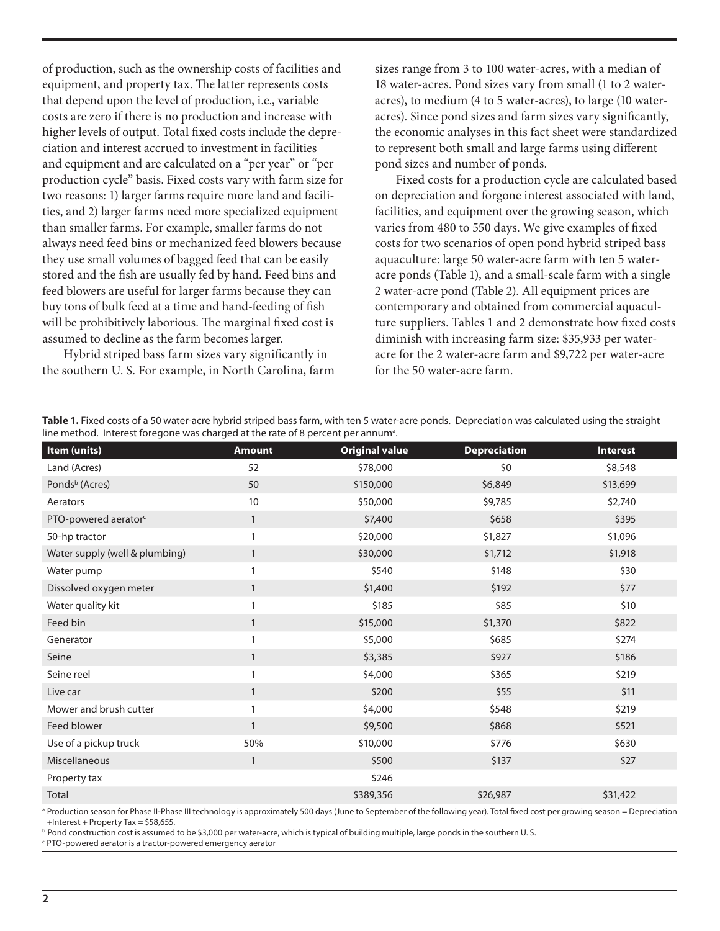of production, such as the ownership costs of facilities and equipment, and property tax. The latter represents costs that depend upon the level of production, i.e., variable costs are zero if there is no production and increase with higher levels of output. Total fixed costs include the depreciation and interest accrued to investment in facilities and equipment and are calculated on a "per year" or "per production cycle" basis. Fixed costs vary with farm size for two reasons: 1) larger farms require more land and facilities, and 2) larger farms need more specialized equipment than smaller farms. For example, smaller farms do not always need feed bins or mechanized feed blowers because they use small volumes of bagged feed that can be easily stored and the fish are usually fed by hand. Feed bins and feed blowers are useful for larger farms because they can buy tons of bulk feed at a time and hand-feeding of fish will be prohibitively laborious. The marginal fixed cost is assumed to decline as the farm becomes larger.

Hybrid striped bass farm sizes vary significantly in the southern U. S. For example, in North Carolina, farm sizes range from 3 to 100 water-acres, with a median of 18 water-acres. Pond sizes vary from small (1 to 2 wateracres), to medium (4 to 5 water-acres), to large (10 wateracres). Since pond sizes and farm sizes vary significantly, the economic analyses in this fact sheet were standardized to represent both small and large farms using different pond sizes and number of ponds.

Fixed costs for a production cycle are calculated based on depreciation and forgone interest associated with land, facilities, and equipment over the growing season, which varies from 480 to 550 days. We give examples of fixed costs for two scenarios of open pond hybrid striped bass aquaculture: large 50 water-acre farm with ten 5 wateracre ponds (Table 1), and a small-scale farm with a single 2 water-acre pond (Table 2). All equipment prices are contemporary and obtained from commercial aquaculture suppliers. Tables 1 and 2 demonstrate how fixed costs diminish with increasing farm size: \$35,933 per wateracre for the 2 water-acre farm and \$9,722 per water-acre for the 50 water-acre farm.

**Table 1.** Fixed costs of a 50 water-acre hybrid striped bass farm, with ten 5 water-acre ponds. Depreciation was calculated using the straight line method. Interest foregone was charged at the rate of 8 percent per annum<sup>a</sup>.

| Item (units)                     | <b>Amount</b> | <b>Original value</b> | <b>Depreciation</b> | Interest |
|----------------------------------|---------------|-----------------------|---------------------|----------|
| Land (Acres)                     | 52            | \$78,000              | \$0                 | \$8,548  |
| Ponds <sup>b</sup> (Acres)       | 50            | \$150,000             | \$6,849             | \$13,699 |
| Aerators                         | 10            | \$50,000              | \$9,785             | \$2,740  |
| PTO-powered aerator <sup>c</sup> | $\mathbf{1}$  | \$7,400               | \$658               | \$395    |
| 50-hp tractor                    | 1             | \$20,000              | \$1,827             | \$1,096  |
| Water supply (well & plumbing)   | $\mathbf{1}$  | \$30,000              | \$1,712             | \$1,918  |
| Water pump                       | 1             | \$540                 | \$148               | \$30     |
| Dissolved oxygen meter           | $\mathbf{1}$  | \$1,400               | \$192               | \$77     |
| Water quality kit                | 1             | \$185                 | \$85                | \$10     |
| Feed bin                         | $\mathbf{1}$  | \$15,000              | \$1,370             | \$822    |
| Generator                        | $\mathbf{1}$  | \$5,000               | \$685               | \$274    |
| Seine                            | $\mathbf{1}$  | \$3,385               | \$927               | \$186    |
| Seine reel                       | 1             | \$4,000               | \$365               | \$219    |
| Live car                         | $\mathbf{1}$  | \$200                 | \$55                | \$11     |
| Mower and brush cutter           |               | \$4,000               | \$548               | \$219    |
| Feed blower                      | $\mathbf{1}$  | \$9,500               | \$868               | \$521    |
| Use of a pickup truck            | 50%           | \$10,000              | \$776               | \$630    |
| Miscellaneous                    | $\mathbf{1}$  | \$500                 | \$137               | \$27     |
| Property tax                     |               | \$246                 |                     |          |
| Total                            |               | \$389,356             | \$26,987            | \$31,422 |

a Production season for Phase II-Phase III technology is approximately 500 days (June to September of the following year). Total fixed cost per growing season = Depreciation +Interest + Property Tax = \$58,655.

**b Pond construction cost is assumed to be \$3,000 per water-acre, which is typical of building multiple, large ponds in the southern U. S.** 

c PTO-powered aerator is a tractor-powered emergency aerator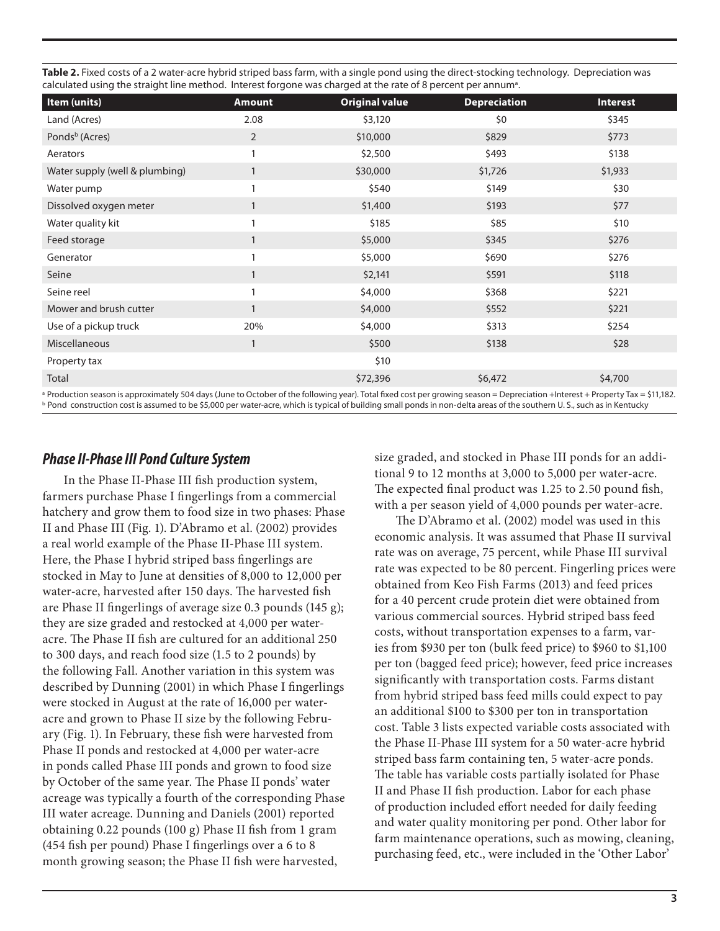**Table 2.** Fixed costs of a 2 water-acre hybrid striped bass farm, with a single pond using the direct-stocking technology. Depreciation was calculated using the straight line method. Interest forgone was charged at the rate of 8 percent per annum<sup>a</sup>.

| Item (units)                   | <b>Amount</b> | <b>Original value</b> | <b>Depreciation</b> | <b>Interest</b> |
|--------------------------------|---------------|-----------------------|---------------------|-----------------|
| Land (Acres)                   | 2.08          | \$3,120               | \$0                 | \$345           |
| Ponds <sup>b</sup> (Acres)     | 2             | \$10,000              | \$829               | \$773           |
| Aerators                       |               | \$2,500               | \$493               | \$138           |
| Water supply (well & plumbing) |               | \$30,000              | \$1,726             | \$1,933         |
| Water pump                     |               | \$540                 | \$149               | \$30            |
| Dissolved oxygen meter         |               | \$1,400               | \$193               | \$77            |
| Water quality kit              |               | \$185                 | \$85                | \$10            |
| Feed storage                   | $\mathbf{1}$  | \$5,000               | \$345               | \$276           |
| Generator                      |               | \$5,000               | \$690               | \$276           |
| Seine                          |               | \$2,141               | \$591               | \$118           |
| Seine reel                     | 1             | \$4,000               | \$368               | \$221           |
| Mower and brush cutter         |               | \$4,000               | \$552               | \$221           |
| Use of a pickup truck          | 20%           | \$4,000               | \$313               | \$254           |
| Miscellaneous                  | 1             | \$500                 | \$138               | \$28            |
| Property tax                   |               | \$10                  |                     |                 |
| Total                          |               | \$72,396              | \$6,472             | \$4,700         |
|                                |               |                       |                     |                 |

a Production season is approximately 504 days (June to October of the following year). Total fixed cost per growing season = Depreciation +Interest + Property Tax = \$11,182. **b Pond construction cost is assumed to be \$5,000 per water-acre, which is typical of building small ponds in non-delta areas of the southern U. S., such as in Kentucky** 

#### *Phase II-Phase III Pond Culture System*

In the Phase II-Phase III fish production system, farmers purchase Phase I fingerlings from a commercial hatchery and grow them to food size in two phases: Phase II and Phase III (Fig. 1). D'Abramo et al. (2002) provides a real world example of the Phase II-Phase III system. Here, the Phase I hybrid striped bass fingerlings are stocked in May to June at densities of 8,000 to 12,000 per water-acre, harvested after 150 days. The harvested fish are Phase II fingerlings of average size 0.3 pounds (145 g); they are size graded and restocked at 4,000 per wateracre. The Phase II fish are cultured for an additional 250 to 300 days, and reach food size (1.5 to 2 pounds) by the following Fall. Another variation in this system was described by Dunning (2001) in which Phase I fingerlings were stocked in August at the rate of 16,000 per wateracre and grown to Phase II size by the following February (Fig. 1). In February, these fish were harvested from Phase II ponds and restocked at 4,000 per water-acre in ponds called Phase III ponds and grown to food size by October of the same year. The Phase II ponds' water acreage was typically a fourth of the corresponding Phase III water acreage. Dunning and Daniels (2001) reported obtaining 0.22 pounds (100 g) Phase II fish from 1 gram (454 fish per pound) Phase I fingerlings over a 6 to 8 month growing season; the Phase II fish were harvested,

size graded, and stocked in Phase III ponds for an additional 9 to 12 months at 3,000 to 5,000 per water-acre. The expected final product was 1.25 to 2.50 pound fish, with a per season yield of 4,000 pounds per water-acre.

The D'Abramo et al. (2002) model was used in this economic analysis. It was assumed that Phase II survival rate was on average, 75 percent, while Phase III survival rate was expected to be 80 percent. Fingerling prices were obtained from Keo Fish Farms (2013) and feed prices for a 40 percent crude protein diet were obtained from various commercial sources. Hybrid striped bass feed costs, without transportation expenses to a farm, varies from \$930 per ton (bulk feed price) to \$960 to \$1,100 per ton (bagged feed price); however, feed price increases significantly with transportation costs. Farms distant from hybrid striped bass feed mills could expect to pay an additional \$100 to \$300 per ton in transportation cost. Table 3 lists expected variable costs associated with the Phase II-Phase III system for a 50 water-acre hybrid striped bass farm containing ten, 5 water-acre ponds. The table has variable costs partially isolated for Phase II and Phase II fish production. Labor for each phase of production included effort needed for daily feeding and water quality monitoring per pond. Other labor for farm maintenance operations, such as mowing, cleaning, purchasing feed, etc., were included in the 'Other Labor'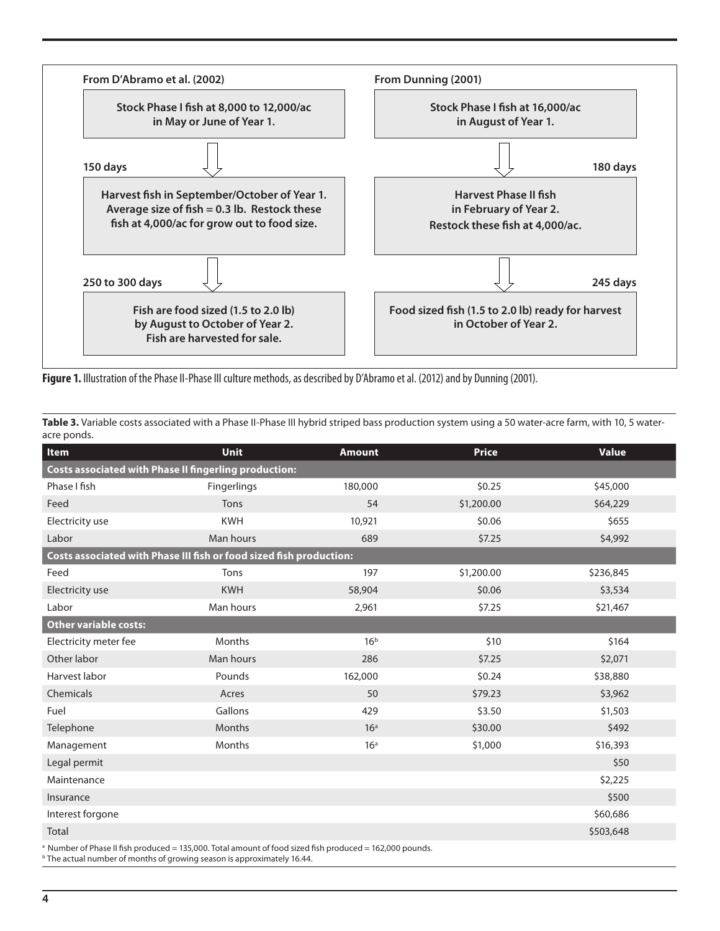

Figure 1. Illustration of the Phase II-Phase III culture methods, as described by D'Abramo et al. (2012) and by Dunning (2001).

Table 3. Variable costs associated with a Phase II-Phase III hybrid striped bass production system using a 50 water-acre farm, with 10, 5 wateracre ponds.

| Item                                                                | <b>Unit</b> | <b>Amount</b>   | <b>Price</b> | <b>Value</b> |  |  |
|---------------------------------------------------------------------|-------------|-----------------|--------------|--------------|--|--|
| <b>Costs associated with Phase II fingerling production:</b>        |             |                 |              |              |  |  |
| Phase I fish                                                        | Fingerlings | 180,000         | \$0.25       | \$45,000     |  |  |
| Feed                                                                | Tons        | 54              | \$1,200.00   | \$64,229     |  |  |
| Electricity use                                                     | <b>KWH</b>  | 10,921          | \$0.06       | \$655        |  |  |
| Labor                                                               | Man hours   | 689             | \$7.25       | \$4,992      |  |  |
| Costs associated with Phase III fish or food sized fish production: |             |                 |              |              |  |  |
| Feed                                                                | Tons        | 197             | \$1,200.00   | \$236,845    |  |  |
| Electricity use                                                     | <b>KWH</b>  | 58,904          | \$0.06       | \$3,534      |  |  |
| Labor                                                               | Man hours   | 2,961           | \$7.25       | \$21,467     |  |  |
| <b>Other variable costs:</b>                                        |             |                 |              |              |  |  |
| Electricity meter fee                                               | Months      | 16 <sup>b</sup> | \$10         | \$164        |  |  |
| Other labor                                                         | Man hours   | 286             | \$7.25       | \$2,071      |  |  |
| Harvest labor                                                       | Pounds      | 162,000         | \$0.24       | \$38,880     |  |  |
| Chemicals                                                           | Acres       | 50              | \$79.23      | \$3,962      |  |  |
| Fuel                                                                | Gallons     | 429             | \$3.50       | \$1,503      |  |  |
| Telephone                                                           | Months      | 16 <sup>a</sup> | \$30.00      | \$492        |  |  |
| Management                                                          | Months      | 16 <sup>a</sup> | \$1,000      | \$16,393     |  |  |
| Legal permit                                                        |             |                 |              | \$50         |  |  |
| Maintenance                                                         |             |                 |              | \$2,225      |  |  |
| Insurance                                                           |             |                 |              | \$500        |  |  |
| Interest forgone                                                    |             |                 |              | \$60,686     |  |  |
| Total                                                               |             |                 |              | \$503,648    |  |  |
|                                                                     |             |                 |              |              |  |  |

<sup>a</sup> Number of Phase II fish produced = 135,000. Total amount of food sized fish produced = 162,000 pounds. **b** The actual number of months of growing season is approximately 16.44.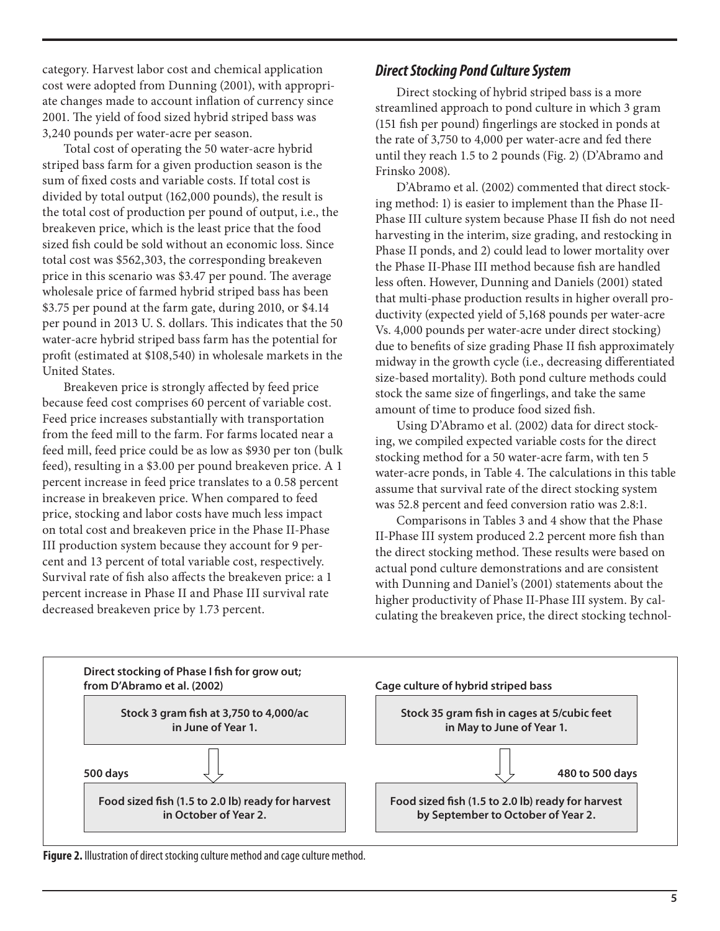category. Harvest labor cost and chemical application cost were adopted from Dunning (2001), with appropriate changes made to account inflation of currency since 2001. The yield of food sized hybrid striped bass was 3,240 pounds per water-acre per season.

Total cost of operating the 50 water-acre hybrid striped bass farm for a given production season is the sum of fixed costs and variable costs. If total cost is divided by total output (162,000 pounds), the result is the total cost of production per pound of output, i.e., the breakeven price, which is the least price that the food sized fish could be sold without an economic loss. Since total cost was \$562,303, the corresponding breakeven price in this scenario was \$3.47 per pound. The average wholesale price of farmed hybrid striped bass has been \$3.75 per pound at the farm gate, during 2010, or \$4.14 per pound in 2013 U. S. dollars. This indicates that the 50 water-acre hybrid striped bass farm has the potential for profit (estimated at \$108,540) in wholesale markets in the United States.

Breakeven price is strongly affected by feed price because feed cost comprises 60 percent of variable cost. Feed price increases substantially with transportation from the feed mill to the farm. For farms located near a feed mill, feed price could be as low as \$930 per ton (bulk feed), resulting in a \$3.00 per pound breakeven price. A 1 percent increase in feed price translates to a 0.58 percent increase in breakeven price. When compared to feed price, stocking and labor costs have much less impact on total cost and breakeven price in the Phase II-Phase III production system because they account for 9 percent and 13 percent of total variable cost, respectively. Survival rate of fish also affects the breakeven price: a 1 percent increase in Phase II and Phase III survival rate decreased breakeven price by 1.73 percent.

#### *Direct Stocking Pond Culture System*

Direct stocking of hybrid striped bass is a more streamlined approach to pond culture in which 3 gram (151 fish per pound) fingerlings are stocked in ponds at the rate of 3,750 to 4,000 per water-acre and fed there until they reach 1.5 to 2 pounds (Fig. 2) (D'Abramo and Frinsko 2008).

D'Abramo et al. (2002) commented that direct stocking method: 1) is easier to implement than the Phase II-Phase III culture system because Phase II fish do not need harvesting in the interim, size grading, and restocking in Phase II ponds, and 2) could lead to lower mortality over the Phase II-Phase III method because fish are handled less often. However, Dunning and Daniels (2001) stated that multi-phase production results in higher overall productivity (expected yield of 5,168 pounds per water-acre Vs. 4,000 pounds per water-acre under direct stocking) due to benefits of size grading Phase II fish approximately midway in the growth cycle (i.e., decreasing differentiated size-based mortality). Both pond culture methods could stock the same size of fingerlings, and take the same amount of time to produce food sized fish.

Using D'Abramo et al. (2002) data for direct stocking, we compiled expected variable costs for the direct stocking method for a 50 water-acre farm, with ten 5 water-acre ponds, in Table 4. The calculations in this table assume that survival rate of the direct stocking system was 52.8 percent and feed conversion ratio was 2.8:1.

Comparisons in Tables 3 and 4 show that the Phase II-Phase III system produced 2.2 percent more fish than the direct stocking method. These results were based on actual pond culture demonstrations and are consistent with Dunning and Daniel's (2001) statements about the higher productivity of Phase II-Phase III system. By calculating the breakeven price, the direct stocking technol-



**Figure 2.** Illustration of direct stocking culture method and cage culture method.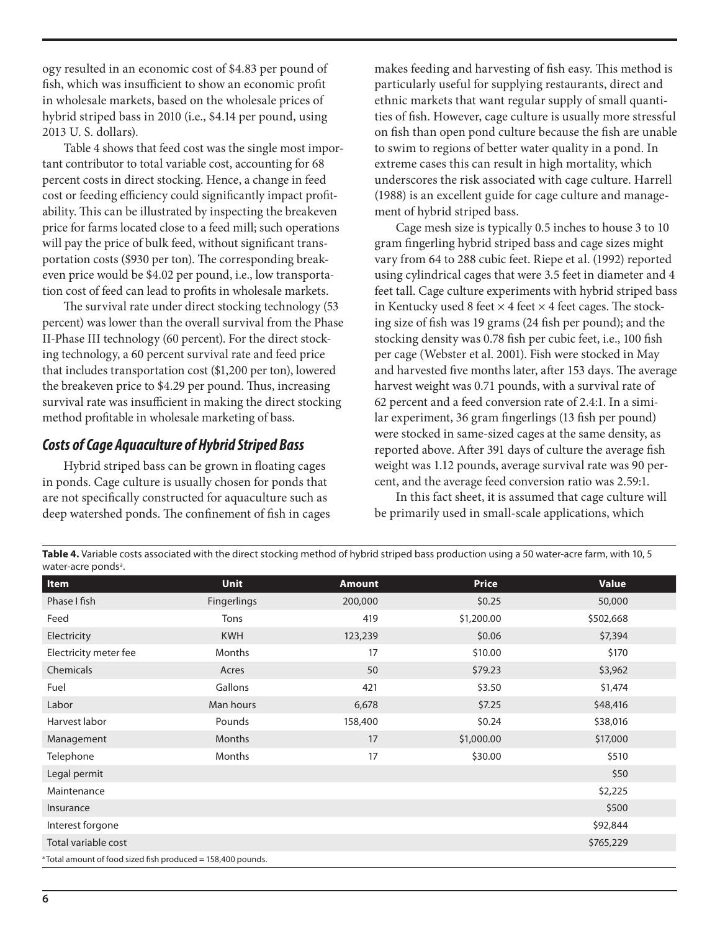ogy resulted in an economic cost of \$4.83 per pound of fish, which was insufficient to show an economic profit in wholesale markets, based on the wholesale prices of hybrid striped bass in 2010 (i.e., \$4.14 per pound, using 2013 U. S. dollars).

Table 4 shows that feed cost was the single most important contributor to total variable cost, accounting for 68 percent costs in direct stocking. Hence, a change in feed cost or feeding efficiency could significantly impact profitability. This can be illustrated by inspecting the breakeven price for farms located close to a feed mill; such operations will pay the price of bulk feed, without significant transportation costs (\$930 per ton). The corresponding breakeven price would be \$4.02 per pound, i.e., low transportation cost of feed can lead to profits in wholesale markets.

The survival rate under direct stocking technology (53 percent) was lower than the overall survival from the Phase II-Phase III technology (60 percent). For the direct stocking technology, a 60 percent survival rate and feed price that includes transportation cost (\$1,200 per ton), lowered the breakeven price to \$4.29 per pound. Thus, increasing survival rate was insufficient in making the direct stocking method profitable in wholesale marketing of bass.

#### *Costs of Cage Aquaculture of Hybrid Striped Bass*

Hybrid striped bass can be grown in floating cages in ponds. Cage culture is usually chosen for ponds that are not specifically constructed for aquaculture such as deep watershed ponds. The confinement of fish in cages makes feeding and harvesting of fish easy. This method is particularly useful for supplying restaurants, direct and ethnic markets that want regular supply of small quantities of fish. However, cage culture is usually more stressful on fish than open pond culture because the fish are unable to swim to regions of better water quality in a pond. In extreme cases this can result in high mortality, which underscores the risk associated with cage culture. Harrell (1988) is an excellent guide for cage culture and management of hybrid striped bass.

Cage mesh size is typically 0.5 inches to house 3 to 10 gram fingerling hybrid striped bass and cage sizes might vary from 64 to 288 cubic feet. Riepe et al. (1992) reported using cylindrical cages that were 3.5 feet in diameter and 4 feet tall. Cage culture experiments with hybrid striped bass in Kentucky used 8 feet  $\times$  4 feet  $\times$  4 feet cages. The stocking size of fish was 19 grams (24 fish per pound); and the stocking density was 0.78 fish per cubic feet, i.e., 100 fish per cage (Webster et al. 2001). Fish were stocked in May and harvested five months later, after 153 days. The average harvest weight was 0.71 pounds, with a survival rate of 62 percent and a feed conversion rate of 2.4:1. In a similar experiment, 36 gram fingerlings (13 fish per pound) were stocked in same-sized cages at the same density, as reported above. After 391 days of culture the average fish weight was 1.12 pounds, average survival rate was 90 percent, and the average feed conversion ratio was 2.59:1.

In this fact sheet, it is assumed that cage culture will be primarily used in small-scale applications, which

**Table 4.** Variable costs associated with the direct stocking method of hybrid striped bass production using a 50 water-acre farm, with 10, 5 water-acre ponds<sup>a</sup>.

| Item                                                                    | <b>Unit</b>   | <b>Amount</b> | <b>Price</b> | <b>Value</b> |  |
|-------------------------------------------------------------------------|---------------|---------------|--------------|--------------|--|
| Phase I fish                                                            | Fingerlings   | 200,000       | \$0.25       | 50,000       |  |
| Feed                                                                    | Tons          | 419           | \$1,200.00   | \$502,668    |  |
| Electricity                                                             | <b>KWH</b>    | 123,239       | \$0.06       | \$7,394      |  |
| Electricity meter fee                                                   | <b>Months</b> | 17            | \$10.00      | \$170        |  |
| Chemicals                                                               | Acres         | 50            | \$79.23      | \$3,962      |  |
| Fuel                                                                    | Gallons       | 421           | \$3.50       | \$1,474      |  |
| Labor                                                                   | Man hours     | 6,678         | \$7.25       | \$48,416     |  |
| Harvest labor                                                           | Pounds        | 158,400       | \$0.24       | \$38,016     |  |
| Management                                                              | <b>Months</b> | 17            | \$1,000.00   | \$17,000     |  |
| Telephone                                                               | Months        | 17            | \$30.00      | \$510        |  |
| Legal permit                                                            |               |               |              | \$50         |  |
| Maintenance                                                             |               |               |              | \$2,225      |  |
| Insurance                                                               |               |               |              | \$500        |  |
| Interest forgone                                                        |               |               |              | \$92,844     |  |
| Total variable cost                                                     |               |               |              | \$765,229    |  |
| <sup>a</sup> Total amount of food sized fish produced = 158,400 pounds. |               |               |              |              |  |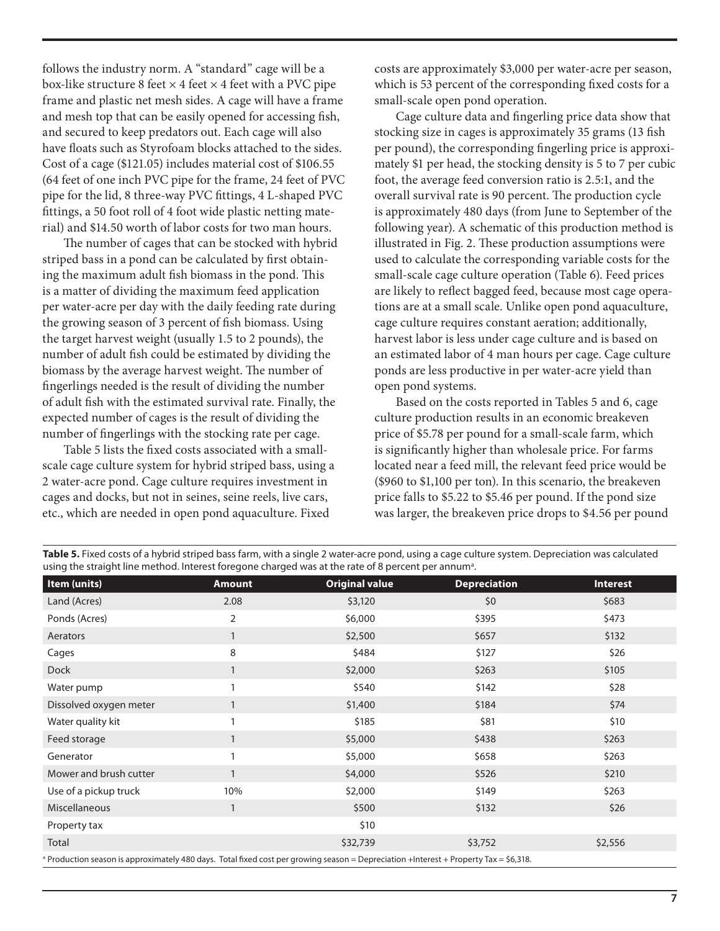follows the industry norm. A "standard" cage will be a box-like structure 8 feet  $\times$  4 feet  $\times$  4 feet with a PVC pipe frame and plastic net mesh sides. A cage will have a frame and mesh top that can be easily opened for accessing fish, and secured to keep predators out. Each cage will also have floats such as Styrofoam blocks attached to the sides. Cost of a cage (\$121.05) includes material cost of \$106.55 (64 feet of one inch PVC pipe for the frame, 24 feet of PVC pipe for the lid, 8 three-way PVC fittings, 4 L-shaped PVC fittings, a 50 foot roll of 4 foot wide plastic netting material) and \$14.50 worth of labor costs for two man hours.

The number of cages that can be stocked with hybrid striped bass in a pond can be calculated by first obtaining the maximum adult fish biomass in the pond. This is a matter of dividing the maximum feed application per water-acre per day with the daily feeding rate during the growing season of 3 percent of fish biomass. Using the target harvest weight (usually 1.5 to 2 pounds), the number of adult fish could be estimated by dividing the biomass by the average harvest weight. The number of fingerlings needed is the result of dividing the number of adult fish with the estimated survival rate. Finally, the expected number of cages is the result of dividing the number of fingerlings with the stocking rate per cage.

Table 5 lists the fixed costs associated with a smallscale cage culture system for hybrid striped bass, using a 2 water-acre pond. Cage culture requires investment in cages and docks, but not in seines, seine reels, live cars, etc., which are needed in open pond aquaculture. Fixed

costs are approximately \$3,000 per water-acre per season, which is 53 percent of the corresponding fixed costs for a small-scale open pond operation.

Cage culture data and fingerling price data show that stocking size in cages is approximately 35 grams (13 fish per pound), the corresponding fingerling price is approximately \$1 per head, the stocking density is 5 to 7 per cubic foot, the average feed conversion ratio is 2.5:1, and the overall survival rate is 90 percent. The production cycle is approximately 480 days (from June to September of the following year). A schematic of this production method is illustrated in Fig. 2. These production assumptions were used to calculate the corresponding variable costs for the small-scale cage culture operation (Table 6). Feed prices are likely to reflect bagged feed, because most cage operations are at a small scale. Unlike open pond aquaculture, cage culture requires constant aeration; additionally, harvest labor is less under cage culture and is based on an estimated labor of 4 man hours per cage. Cage culture ponds are less productive in per water-acre yield than open pond systems.

Based on the costs reported in Tables 5 and 6, cage culture production results in an economic breakeven price of \$5.78 per pound for a small-scale farm, which is significantly higher than wholesale price. For farms located near a feed mill, the relevant feed price would be (\$960 to \$1,100 per ton). In this scenario, the breakeven price falls to \$5.22 to \$5.46 per pound. If the pond size was larger, the breakeven price drops to \$4.56 per pound

| Item (units)                                                                                                                                     | <b>Amount</b>  | <b>Original value</b> | <b>Depreciation</b> | <b>Interest</b> |  |
|--------------------------------------------------------------------------------------------------------------------------------------------------|----------------|-----------------------|---------------------|-----------------|--|
| Land (Acres)                                                                                                                                     | 2.08           | \$3,120               | \$0                 | \$683           |  |
| Ponds (Acres)                                                                                                                                    | $\overline{2}$ | \$6,000               | \$395               | \$473           |  |
| Aerators                                                                                                                                         | $\mathbf{1}$   | \$2,500               | \$657               | \$132           |  |
| Cages                                                                                                                                            | 8              | \$484                 | \$127               | \$26            |  |
| <b>Dock</b>                                                                                                                                      | $\mathbf{1}$   | \$2,000               | \$263               | \$105           |  |
| Water pump                                                                                                                                       | $\mathbf{1}$   | \$540                 | \$142               | \$28            |  |
| Dissolved oxygen meter                                                                                                                           | $\mathbf{1}$   | \$1,400               | \$184               | \$74            |  |
| Water quality kit                                                                                                                                |                | \$185                 | \$81                | \$10            |  |
| Feed storage                                                                                                                                     | $\mathbf{1}$   | \$5,000               | \$438               | \$263           |  |
| Generator                                                                                                                                        | $\mathbf{1}$   | \$5,000               | \$658               | \$263           |  |
| Mower and brush cutter                                                                                                                           | $\mathbf{1}$   | \$4,000               | \$526               | \$210           |  |
| Use of a pickup truck                                                                                                                            | 10%            | \$2,000               | \$149               | \$263           |  |
| <b>Miscellaneous</b>                                                                                                                             | $\overline{1}$ | \$500                 | \$132               | \$26            |  |
| Property tax                                                                                                                                     |                | \$10                  |                     |                 |  |
| Total                                                                                                                                            |                | \$32,739              | \$3,752             | \$2,556         |  |
| <sup>a</sup> Production season is approximately 480 days. Total fixed cost per growing season = Depreciation +Interest + Property Tax = \$6,318. |                |                       |                     |                 |  |

**Table 5.** Fixed costs of a hybrid striped bass farm, with a single 2 water-acre pond, using a cage culture system. Depreciation was calculated using the straight line method. Interest foregone charged was at the rate of 8 percent per annum<sup>a</sup>.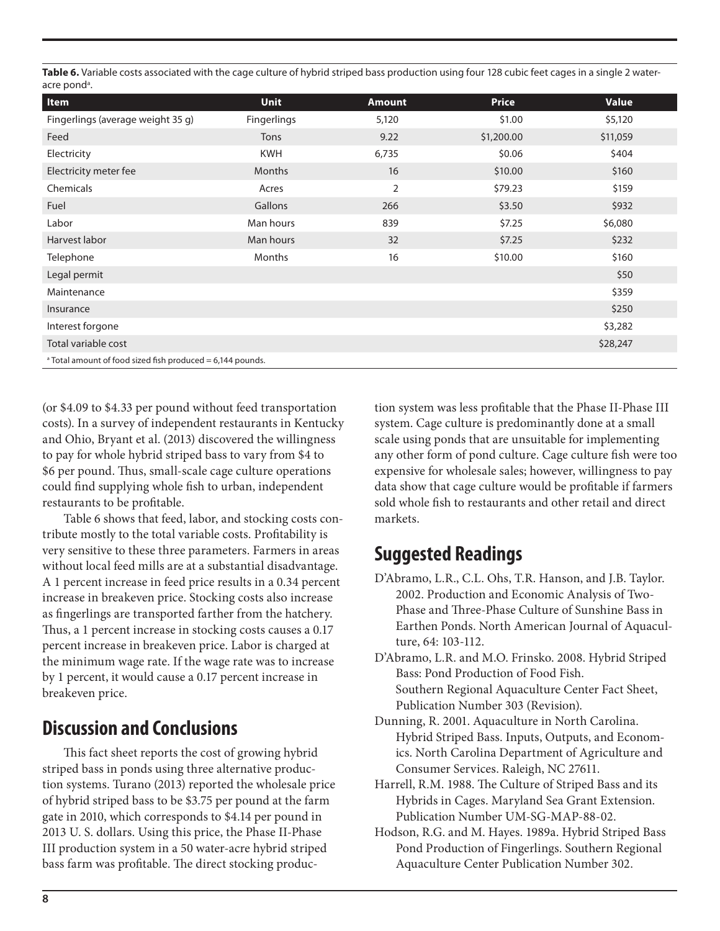Table 6. Variable costs associated with the cage culture of hybrid striped bass production using four 128 cubic feet cages in a single 2 wateracre pond<sup>a</sup>.

| Item                                                                  | <b>Unit</b>        | <b>Amount</b> | <b>Price</b> | <b>Value</b> |
|-----------------------------------------------------------------------|--------------------|---------------|--------------|--------------|
| Fingerlings (average weight 35 g)                                     | <b>Fingerlings</b> | 5,120         | \$1.00       | \$5,120      |
| Feed                                                                  | Tons               | 9.22          | \$1,200.00   | \$11,059     |
| Electricity                                                           | <b>KWH</b>         | 6,735         | \$0.06       | \$404        |
| Electricity meter fee                                                 | <b>Months</b>      | 16            | \$10.00      | \$160        |
| Chemicals                                                             | Acres              | 2             | \$79.23      | \$159        |
| Fuel                                                                  | Gallons            | 266           | \$3.50       | \$932        |
| Labor                                                                 | Man hours          | 839           | \$7.25       | \$6,080      |
| Harvest labor                                                         | Man hours          | 32            | \$7.25       | \$232        |
| Telephone                                                             | Months             | 16            | \$10.00      | \$160        |
| Legal permit                                                          |                    |               |              | \$50         |
| Maintenance                                                           |                    |               |              | \$359        |
| Insurance                                                             |                    |               |              | \$250        |
| Interest forgone                                                      |                    |               |              | \$3,282      |
| Total variable cost                                                   |                    |               |              | \$28,247     |
| <sup>a</sup> Total amount of food sized fish produced = 6,144 pounds. |                    |               |              |              |

(or \$4.09 to \$4.33 per pound without feed transportation costs). In a survey of independent restaurants in Kentucky and Ohio, Bryant et al. (2013) discovered the willingness to pay for whole hybrid striped bass to vary from \$4 to \$6 per pound. Thus, small-scale cage culture operations could find supplying whole fish to urban, independent restaurants to be profitable.

Table 6 shows that feed, labor, and stocking costs contribute mostly to the total variable costs. Profitability is very sensitive to these three parameters. Farmers in areas without local feed mills are at a substantial disadvantage. A 1 percent increase in feed price results in a 0.34 percent increase in breakeven price. Stocking costs also increase as fingerlings are transported farther from the hatchery. Thus, a 1 percent increase in stocking costs causes a 0.17 percent increase in breakeven price. Labor is charged at the minimum wage rate. If the wage rate was to increase by 1 percent, it would cause a 0.17 percent increase in breakeven price.

### **Discussion and Conclusions**

This fact sheet reports the cost of growing hybrid striped bass in ponds using three alternative production systems. Turano (2013) reported the wholesale price of hybrid striped bass to be \$3.75 per pound at the farm gate in 2010, which corresponds to \$4.14 per pound in 2013 U. S. dollars. Using this price, the Phase II-Phase III production system in a 50 water-acre hybrid striped bass farm was profitable. The direct stocking production system was less profitable that the Phase II-Phase III system. Cage culture is predominantly done at a small scale using ponds that are unsuitable for implementing any other form of pond culture. Cage culture fish were too expensive for wholesale sales; however, willingness to pay data show that cage culture would be profitable if farmers sold whole fish to restaurants and other retail and direct markets.

## **Suggested Readings**

- D'Abramo, L.R., C.L. Ohs, T.R. Hanson, and J.B. Taylor. 2002. Production and Economic Analysis of Two-Phase and Three-Phase Culture of Sunshine Bass in Earthen Ponds. North American Journal of Aquaculture, 64: 103-112.
- D'Abramo, L.R. and M.O. Frinsko. 2008. Hybrid Striped Bass: Pond Production of Food Fish. Southern Regional Aquaculture Center Fact Sheet, Publication Number 303 (Revision).
- Dunning, R. 2001. Aquaculture in North Carolina. Hybrid Striped Bass. Inputs, Outputs, and Economics. North Carolina Department of Agriculture and Consumer Services. Raleigh, NC 27611.
- Harrell, R.M. 1988. The Culture of Striped Bass and its Hybrids in Cages. Maryland Sea Grant Extension. Publication Number UM-SG-MAP-88-02.
- Hodson, R.G. and M. Hayes. 1989a. Hybrid Striped Bass Pond Production of Fingerlings. Southern Regional Aquaculture Center Publication Number 302.